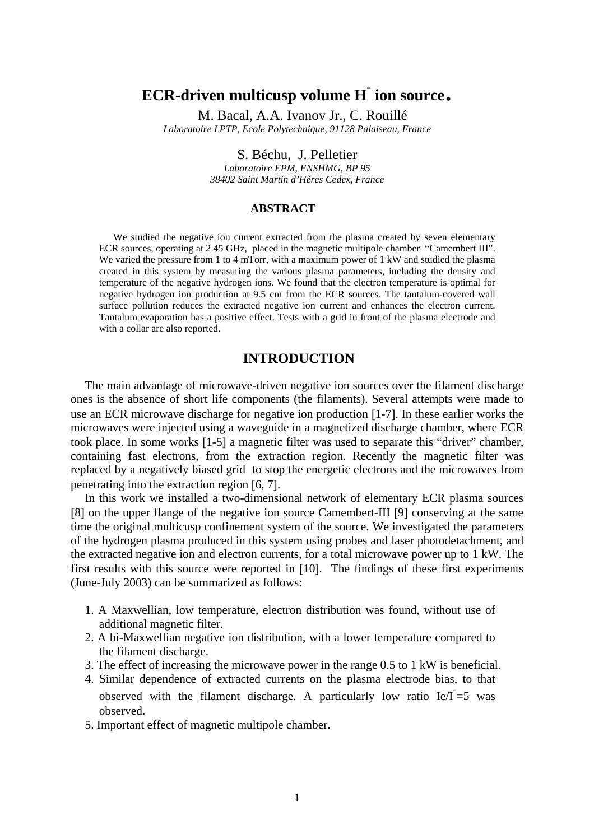# **ECR-driven multicusp volume H- ion source**. M. Bacal, A.A. Ivanov Jr., C. Rouillé

*Laboratoire LPTP, Ecole Polytechnique, 91128 Palaiseau, France* 

S. Béchu, J. Pelletier

*Laboratoire EPM, ENSHMG, BP 95 38402 Saint Martin d'Hères Cedex, France*

## **ABSTRACT**

We studied the negative ion current extracted from the plasma created by seven elementary ECR sources, operating at 2.45 GHz, placed in the magnetic multipole chamber "Camembert III". We varied the pressure from 1 to 4 mTorr, with a maximum power of 1 kW and studied the plasma created in this system by measuring the various plasma parameters, including the density and temperature of the negative hydrogen ions. We found that the electron temperature is optimal for negative hydrogen ion production at 9.5 cm from the ECR sources. The tantalum-covered wall surface pollution reduces the extracted negative ion current and enhances the electron current. Tantalum evaporation has a positive effect. Tests with a grid in front of the plasma electrode and with a collar are also reported.

## **INTRODUCTION**

The main advantage of microwave-driven negative ion sources over the filament discharge ones is the absence of short life components (the filaments). Several attempts were made to use an ECR microwave discharge for negative ion production [1-7]. In these earlier works the microwaves were injected using a waveguide in a magnetized discharge chamber, where ECR took place. In some works [1-5] a magnetic filter was used to separate this "driver" chamber, containing fast electrons, from the extraction region. Recently the magnetic filter was replaced by a negatively biased grid to stop the energetic electrons and the microwaves from penetrating into the extraction region [6, 7].

In this work we installed a two-dimensional network of elementary ECR plasma sources [8] on the upper flange of the negative ion source Camembert-III [9] conserving at the same time the original multicusp confinement system of the source. We investigated the parameters of the hydrogen plasma produced in this system using probes and laser photodetachment, and the extracted negative ion and electron currents, for a total microwave power up to 1 kW. The first results with this source were reported in [10]. The findings of these first experiments (June-July 2003) can be summarized as follows:

- 1. A Maxwellian, low temperature, electron distribution was found, without use of additional magnetic filter.
- 2. A bi-Maxwellian negative ion distribution, with a lower temperature compared to the filament discharge.
- 3. The effect of increasing the microwave power in the range 0.5 to 1 kW is beneficial.
- 4. Similar dependence of extracted currents on the plasma electrode bias, to that
- observed with the filament discharge. A particularly low ratio  $Ie/I = 5$  was observed.
- 5. Important effect of magnetic multipole chamber.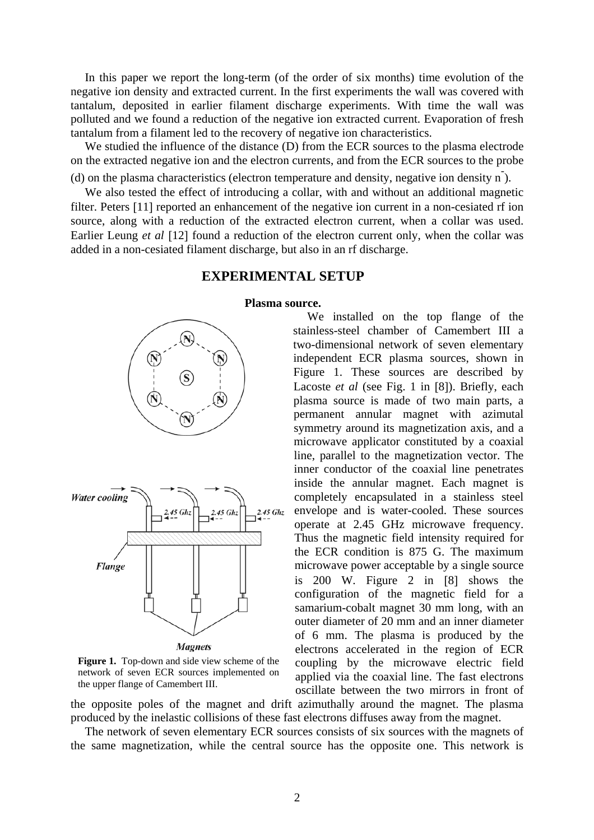In this paper we report the long-term (of the order of six months) time evolution of the negative ion density and extracted current. In the first experiments the wall was covered with tantalum, deposited in earlier filament discharge experiments. With time the wall was polluted and we found a reduction of the negative ion extracted current. Evaporation of fresh tantalum from a filament led to the recovery of negative ion characteristics.

We studied the influence of the distance (D) from the ECR sources to the plasma electrode on the extracted negative ion and the electron currents, and from the ECR sources to the probe (d) on the plasma characteristics (electron temperature and density, negative ion density n- ).

We also tested the effect of introducing a collar, with and without an additional magnetic filter. Peters [11] reported an enhancement of the negative ion current in a non-cesiated rf ion source, along with a reduction of the extracted electron current, when a collar was used. Earlier Leung *et al* [12] found a reduction of the electron current only, when the collar was added in a non-cesiated filament discharge, but also in an rf discharge.

#### **EXPERIMENTAL SETUP**

## **Plasma source.**



**Magnets** 

**Figure 1.** Top-down and side view scheme of the network of seven ECR sources implemented on the upper flange of Camembert III.

We installed on the top flange of the stainless-steel chamber of Camembert III a two-dimensional network of seven elementary independent ECR plasma sources, shown in Figure 1. These sources are described by Lacoste *et al* (see Fig. 1 in [8]). Briefly, each plasma source is made of two main parts, a permanent annular magnet with azimutal symmetry around its magnetization axis, and a microwave applicator constituted by a coaxial line, parallel to the magnetization vector. The inner conductor of the coaxial line penetrates inside the annular magnet. Each magnet is completely encapsulated in a stainless steel envelope and is water-cooled. These sources operate at 2.45 GHz microwave frequency. Thus the magnetic field intensity required for the ECR condition is 875 G. The maximum microwave power acceptable by a single source is 200 W. Figure 2 in [8] shows the configuration of the magnetic field for a samarium-cobalt magnet 30 mm long, with an outer diameter of 20 mm and an inner diameter of 6 mm. The plasma is produced by the electrons accelerated in the region of ECR coupling by the microwave electric field applied via the coaxial line. The fast electrons oscillate between the two mirrors in front of

the opposite poles of the magnet and drift azimuthally around the magnet. The plasma produced by the inelastic collisions of these fast electrons diffuses away from the magnet.

The network of seven elementary ECR sources consists of six sources with the magnets of the same magnetization, while the central source has the opposite one. This network is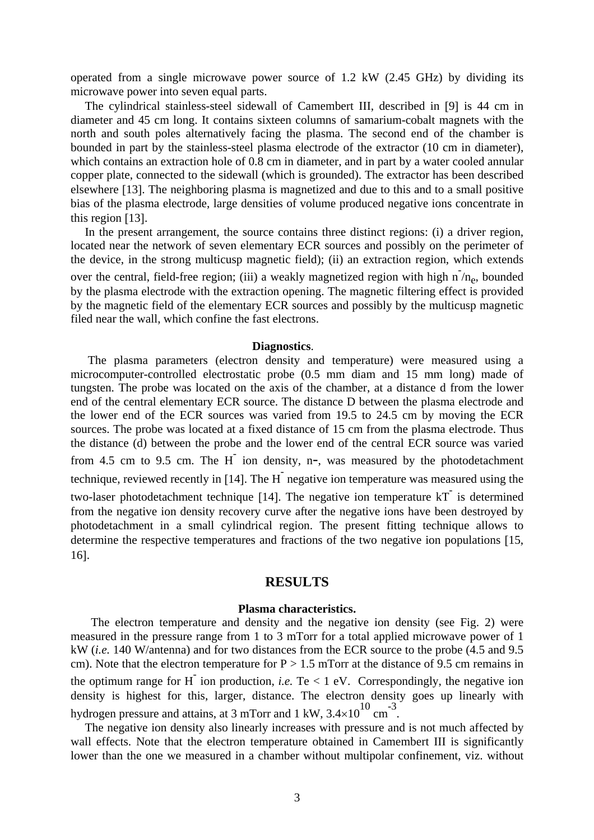operated from a single microwave power source of 1.2 kW (2.45 GHz) by dividing its microwave power into seven equal parts.

The cylindrical stainless-steel sidewall of Camembert III, described in [9] is 44 cm in diameter and 45 cm long. It contains sixteen columns of samarium-cobalt magnets with the north and south poles alternatively facing the plasma. The second end of the chamber is bounded in part by the stainless-steel plasma electrode of the extractor (10 cm in diameter), which contains an extraction hole of 0.8 cm in diameter, and in part by a water cooled annular copper plate, connected to the sidewall (which is grounded). The extractor has been described elsewhere [13]. The neighboring plasma is magnetized and due to this and to a small positive bias of the plasma electrode, large densities of volume produced negative ions concentrate in this region [13].

In the present arrangement, the source contains three distinct regions: (i) a driver region, located near the network of seven elementary ECR sources and possibly on the perimeter of the device, in the strong multicusp magnetic field); (ii) an extraction region, which extends over the central, field-free region; (iii) a weakly magnetized region with high  $n/n_e$ , bounded by the plasma electrode with the extraction opening. The magnetic filtering effect is provided by the magnetic field of the elementary ECR sources and possibly by the multicusp magnetic filed near the wall, which confine the fast electrons.

#### **Diagnostics**.

The plasma parameters (electron density and temperature) were measured using a microcomputer-controlled electrostatic probe (0.5 mm diam and 15 mm long) made of tungsten. The probe was located on the axis of the chamber, at a distance d from the lower end of the central elementary ECR source. The distance D between the plasma electrode and the lower end of the ECR sources was varied from 19.5 to 24.5 cm by moving the ECR sources. The probe was located at a fixed distance of 15 cm from the plasma electrode. Thus the distance (d) between the probe and the lower end of the central ECR source was varied from 4.5 cm to 9.5 cm. The  $H^-$  ion density, n-, was measured by the photodetachment technique, reviewed recently in [14]. The H<sup>-</sup> negative ion temperature was measured using the two-laser photodetachment technique [14]. The negative ion temperature kT- is determined from the negative ion density recovery curve after the negative ions have been destroyed by photodetachment in a small cylindrical region. The present fitting technique allows to determine the respective temperatures and fractions of the two negative ion populations [15, 16].

## **RESULTS**

#### **Plasma characteristics.**

The electron temperature and density and the negative ion density (see Fig. 2) were measured in the pressure range from 1 to 3 mTorr for a total applied microwave power of 1 kW (*i.e.* 140 W/antenna) and for two distances from the ECR source to the probe (4.5 and 9.5 cm). Note that the electron temperature for  $P > 1.5$  mTorr at the distance of 9.5 cm remains in the optimum range for  $H^-$  ion production, *i.e.* Te < 1 eV. Correspondingly, the negative ion density is highest for this, larger, distance. The electron density goes up linearly with hydrogen pressure and attains, at 3 mTorr and 1 kW,  $3.4 \times 10^{10}$  cm<sup>-3</sup>.<br>The negative ion density also linearly increases with pressure and is not much affected by

wall effects. Note that the electron temperature obtained in Camembert III is significantly lower than the one we measured in a chamber without multipolar confinement, viz. without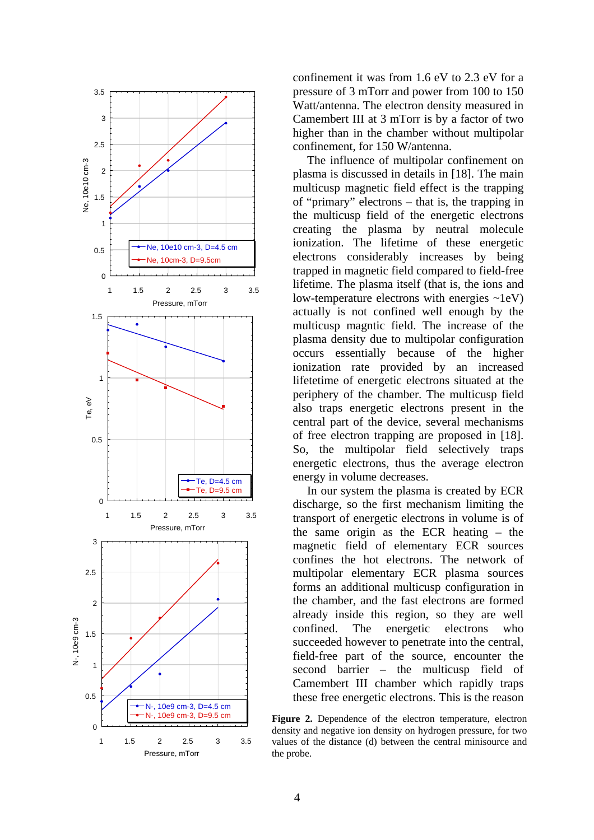

confinement it was from 1.6 eV to 2.3 eV for a pressure of 3 mTorr and power from 100 to 150 Watt/antenna. The electron density measured in Camembert III at 3 mTorr is by a factor of two higher than in the chamber without multipolar confinement, for 150 W/antenna.

The influence of multipolar confinement on plasma is discussed in details in [18]. The main multicusp magnetic field effect is the trapping of "primary" electrons – that is, the trapping in the multicusp field of the energetic electrons creating the plasma by neutral molecule ionization. The lifetime of these energetic electrons considerably increases by being trapped in magnetic field compared to field-free lifetime. The plasma itself (that is, the ions and low-temperature electrons with energies ~1eV) actually is not confined well enough by the multicusp magntic field. The increase of the plasma density due to multipolar configuration occurs essentially because of the higher ionization rate provided by an increased lifetetime of energetic electrons situated at the periphery of the chamber. The multicusp field also traps energetic electrons present in the central part of the device, several mechanisms of free electron trapping are proposed in [18]. So, the multipolar field selectively traps energetic electrons, thus the average electron energy in volume decreases.

In our system the plasma is created by ECR discharge, so the first mechanism limiting the transport of energetic electrons in volume is of the same origin as the ECR heating – the magnetic field of elementary ECR sources confines the hot electrons. The network of multipolar elementary ECR plasma sources forms an additional multicusp configuration in the chamber, and the fast electrons are formed already inside this region, so they are well confined. The energetic electrons who succeeded however to penetrate into the central, field-free part of the source, encounter the second barrier – the multicusp field of Camembert III chamber which rapidly traps these free energetic electrons. This is the reason

**Figure 2.** Dependence of the electron temperature, electron density and negative ion density on hydrogen pressure, for two values of the distance (d) between the central minisource and the probe.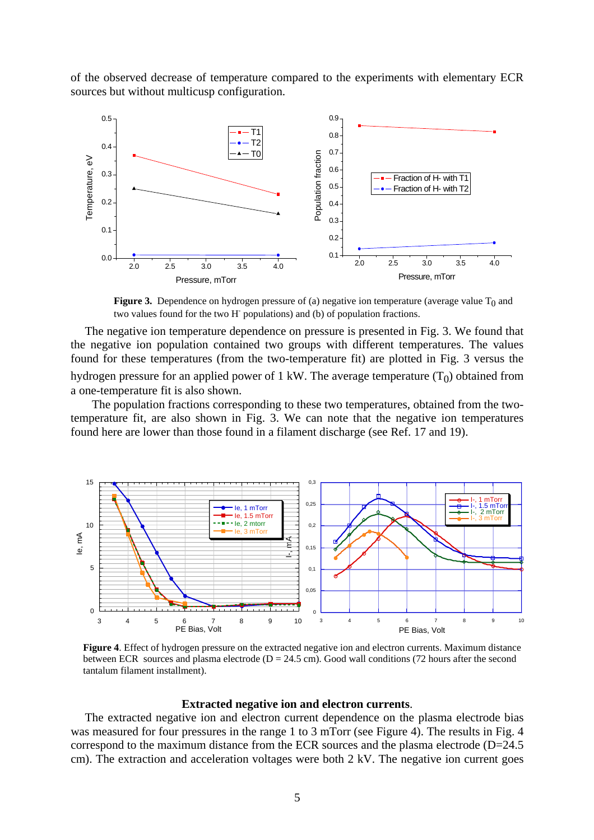of the observed decrease of temperature compared to the experiments with elementary ECR sources but without multicusp configuration.



**Figure 3.** Dependence on hydrogen pressure of (a) negative ion temperature (average value  $T_0$  and two values found for the two H- populations) and (b) of population fractions.

The negative ion temperature dependence on pressure is presented in Fig. 3. We found that the negative ion population contained two groups with different temperatures. The values found for these temperatures (from the two-temperature fit) are plotted in Fig. 3 versus the hydrogen pressure for an applied power of 1 kW. The average temperature  $(T_0)$  obtained from a one-temperature fit is also shown.

The population fractions corresponding to these two temperatures, obtained from the twotemperature fit, are also shown in Fig. 3. We can note that the negative ion temperatures found here are lower than those found in a filament discharge (see Ref. 17 and 19).



**Figure 4**. Effect of hydrogen pressure on the extracted negative ion and electron currents. Maximum distance between ECR sources and plasma electrode ( $D = 24.5$  cm). Good wall conditions (72 hours after the second tantalum filament installment).

#### **Extracted negative ion and electron currents**.

The extracted negative ion and electron current dependence on the plasma electrode bias was measured for four pressures in the range 1 to 3 mTorr (see Figure 4). The results in Fig. 4 correspond to the maximum distance from the ECR sources and the plasma electrode (D=24.5) cm). The extraction and acceleration voltages were both 2 kV. The negative ion current goes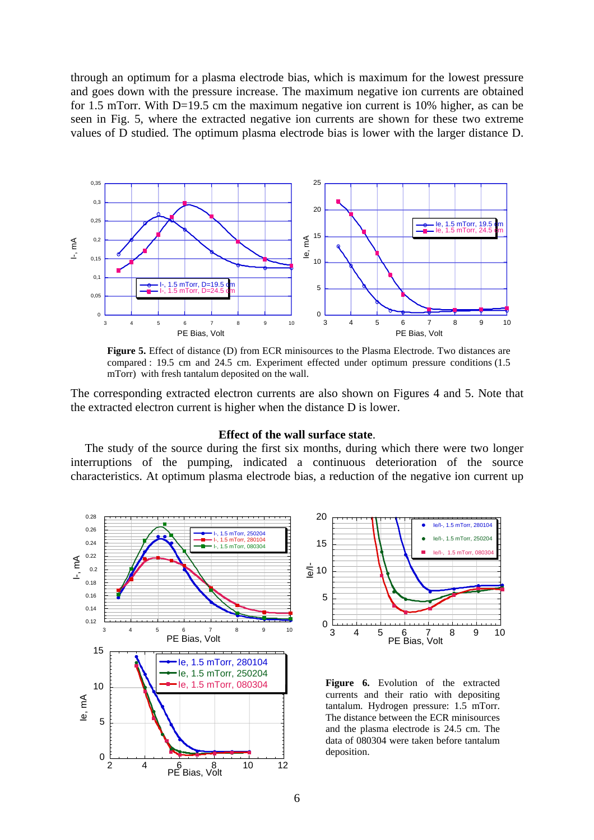through an optimum for a plasma electrode bias, which is maximum for the lowest pressure and goes down with the pressure increase. The maximum negative ion currents are obtained for 1.5 mTorr. With D=19.5 cm the maximum negative ion current is 10% higher, as can be seen in Fig. 5, where the extracted negative ion currents are shown for these two extreme values of D studied. The optimum plasma electrode bias is lower with the larger distance D.



**Figure 5.** Effect of distance (D) from ECR minisources to the Plasma Electrode. Two distances are compared : 19.5 cm and 24.5 cm. Experiment effected under optimum pressure conditions (1.5 mTorr) with fresh tantalum deposited on the wall.

The corresponding extracted electron currents are also shown on Figures 4 and 5. Note that the extracted electron current is higher when the distance D is lower.

#### **Effect of the wall surface state**.

The study of the source during the first six months, during which there were two longer interruptions of the pumping, indicated a continuous deterioration of the source characteristics. At optimum plasma electrode bias, a reduction of the negative ion current up





**Figure 6.** Evolution of the extracted currents and their ratio with depositing tantalum. Hydrogen pressure: 1.5 mTorr. The distance between the ECR minisources and the plasma electrode is 24.5 cm. The data of 080304 were taken before tantalum deposition.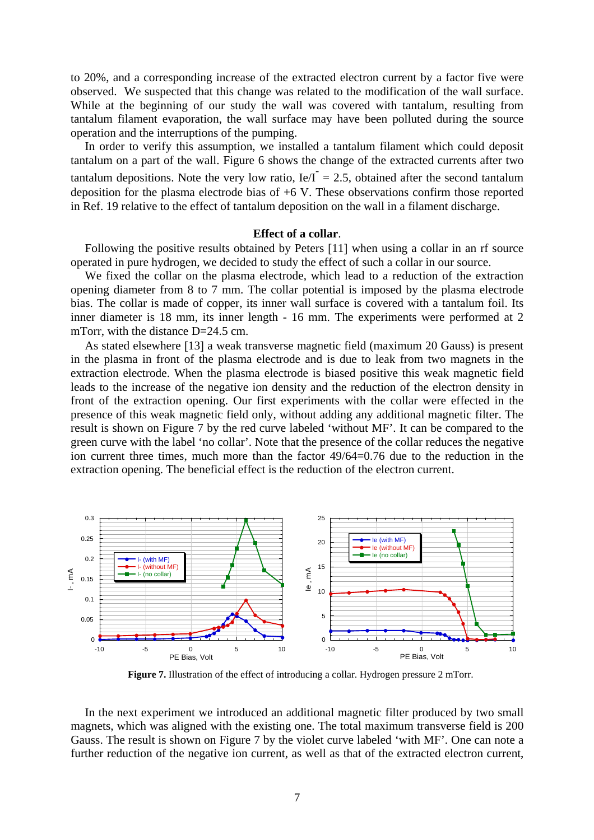to 20%, and a corresponding increase of the extracted electron current by a factor five were observed. We suspected that this change was related to the modification of the wall surface. While at the beginning of our study the wall was covered with tantalum, resulting from tantalum filament evaporation, the wall surface may have been polluted during the source operation and the interruptions of the pumping.

In order to verify this assumption, we installed a tantalum filament which could deposit tantalum on a part of the wall. Figure 6 shows the change of the extracted currents after two tantalum depositions. Note the very low ratio,  $Ie/I^{\dagger} = 2.5$ , obtained after the second tantalum deposition for the plasma electrode bias of +6 V. These observations confirm those reported in Ref. 19 relative to the effect of tantalum deposition on the wall in a filament discharge.

#### **Effect of a collar**.

Following the positive results obtained by Peters [11] when using a collar in an rf source operated in pure hydrogen, we decided to study the effect of such a collar in our source.

We fixed the collar on the plasma electrode, which lead to a reduction of the extraction opening diameter from 8 to 7 mm. The collar potential is imposed by the plasma electrode bias. The collar is made of copper, its inner wall surface is covered with a tantalum foil. Its inner diameter is 18 mm, its inner length - 16 mm. The experiments were performed at 2 mTorr, with the distance D=24.5 cm.

As stated elsewhere [13] a weak transverse magnetic field (maximum 20 Gauss) is present in the plasma in front of the plasma electrode and is due to leak from two magnets in the extraction electrode. When the plasma electrode is biased positive this weak magnetic field leads to the increase of the negative ion density and the reduction of the electron density in front of the extraction opening. Our first experiments with the collar were effected in the presence of this weak magnetic field only, without adding any additional magnetic filter. The result is shown on Figure 7 by the red curve labeled 'without MF'. It can be compared to the green curve with the label 'no collar'. Note that the presence of the collar reduces the negative ion current three times, much more than the factor 49/64=0.76 due to the reduction in the extraction opening. The beneficial effect is the reduction of the electron current.



**Figure 7.** Illustration of the effect of introducing a collar. Hydrogen pressure 2 mTorr.

In the next experiment we introduced an additional magnetic filter produced by two small magnets, which was aligned with the existing one. The total maximum transverse field is 200 Gauss. The result is shown on Figure 7 by the violet curve labeled 'with MF'. One can note a further reduction of the negative ion current, as well as that of the extracted electron current,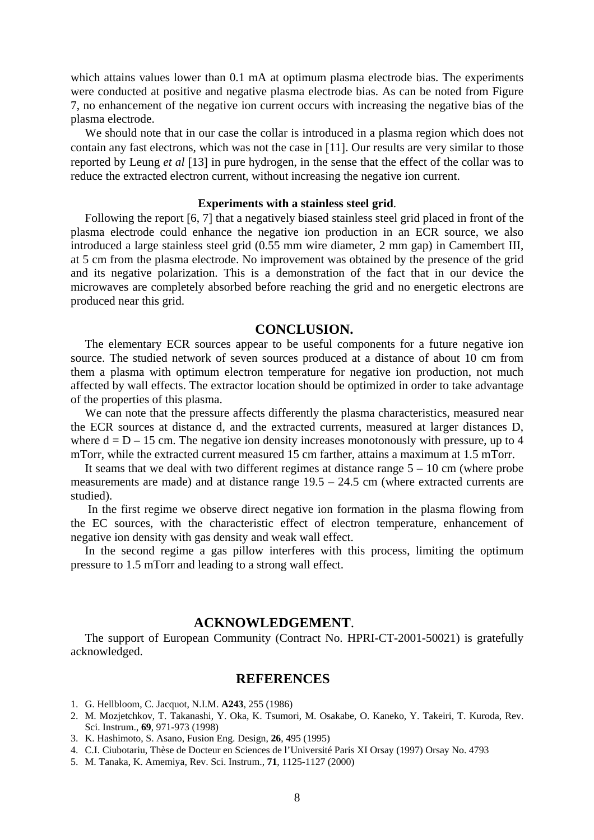which attains values lower than 0.1 mA at optimum plasma electrode bias. The experiments were conducted at positive and negative plasma electrode bias. As can be noted from Figure 7, no enhancement of the negative ion current occurs with increasing the negative bias of the plasma electrode.

We should note that in our case the collar is introduced in a plasma region which does not contain any fast electrons, which was not the case in [11]. Our results are very similar to those reported by Leung *et al* [13] in pure hydrogen, in the sense that the effect of the collar was to reduce the extracted electron current, without increasing the negative ion current.

#### **Experiments with a stainless steel grid**.

Following the report [6, 7] that a negatively biased stainless steel grid placed in front of the plasma electrode could enhance the negative ion production in an ECR source, we also introduced a large stainless steel grid (0.55 mm wire diameter, 2 mm gap) in Camembert III, at 5 cm from the plasma electrode. No improvement was obtained by the presence of the grid and its negative polarization. This is a demonstration of the fact that in our device the microwaves are completely absorbed before reaching the grid and no energetic electrons are produced near this grid.

## **CONCLUSION.**

The elementary ECR sources appear to be useful components for a future negative ion source. The studied network of seven sources produced at a distance of about 10 cm from them a plasma with optimum electron temperature for negative ion production, not much affected by wall effects. The extractor location should be optimized in order to take advantage of the properties of this plasma.

We can note that the pressure affects differently the plasma characteristics, measured near the ECR sources at distance d, and the extracted currents, measured at larger distances D, where  $d = D - 15$  cm. The negative ion density increases monotonously with pressure, up to 4 mTorr, while the extracted current measured 15 cm farther, attains a maximum at 1.5 mTorr.

It seams that we deal with two different regimes at distance range  $5 - 10$  cm (where probe measurements are made) and at distance range 19.5 – 24.5 cm (where extracted currents are studied).

In the first regime we observe direct negative ion formation in the plasma flowing from the EC sources, with the characteristic effect of electron temperature, enhancement of negative ion density with gas density and weak wall effect.

In the second regime a gas pillow interferes with this process, limiting the optimum pressure to 1.5 mTorr and leading to a strong wall effect.

## **ACKNOWLEDGEMENT**.

The support of European Community (Contract No. HPRI-CT-2001-50021) is gratefully acknowledged.

## **REFERENCES**

- 1. G. Hellbloom, C. Jacquot, N.I.M. **A243**, 255 (1986)
- 2. M. Mozjetchkov, T. Takanashi, Y. Oka, K. Tsumori, M. Osakabe, O. Kaneko, Y. Takeiri, T. Kuroda, Rev. Sci. Instrum., **69**, 971-973 (1998)
- 3. K. Hashimoto, S. Asano, Fusion Eng. Design, **26**, 495 (1995)
- 4. C.I. Ciubotariu, Thèse de Docteur en Sciences de l'Université Paris XI Orsay (1997) Orsay No. 4793
- 5. M. Tanaka, K. Amemiya, Rev. Sci. Instrum., **71**, 1125-1127 (2000)